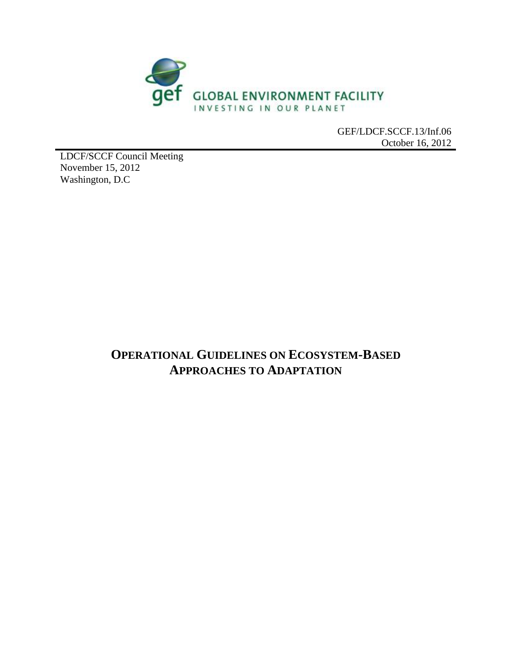

GEF/LDCF.SCCF.13/Inf.06 October 16, 2012

LDCF/SCCF Council Meeting November 15, 2012 Washington, D.C

# **OPERATIONAL GUIDELINES ON ECOSYSTEM-BASED APPROACHES TO ADAPTATION**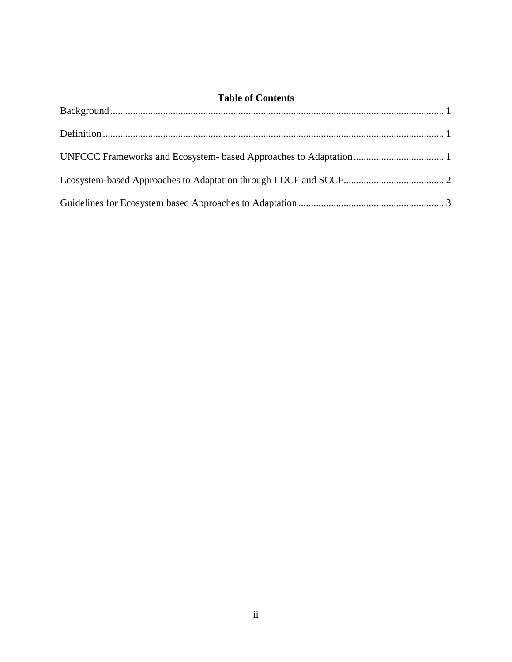### **Table of Contents**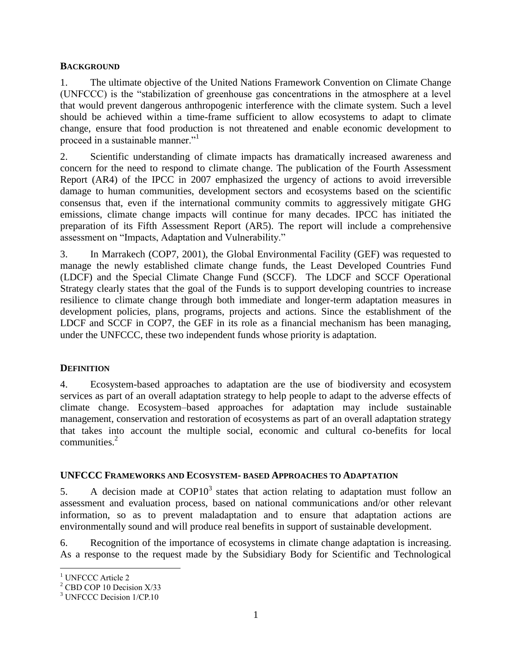#### <span id="page-2-0"></span>**BACKGROUND**

1. The ultimate objective of the United Nations Framework Convention on Climate Change (UNFCCC) is the "stabilization of greenhouse gas concentrations in the atmosphere at a level that would prevent dangerous anthropogenic interference with the climate system. Such a level should be achieved within a time-frame sufficient to allow ecosystems to adapt to climate change, ensure that food production is not threatened and enable economic development to proceed in a sustainable manner."<sup>1</sup>

2. Scientific understanding of climate impacts has dramatically increased awareness and concern for the need to respond to climate change. The publication of the Fourth Assessment Report (AR4) of the IPCC in 2007 emphasized the urgency of actions to avoid irreversible damage to human communities, development sectors and ecosystems based on the scientific consensus that, even if the international community commits to aggressively mitigate GHG emissions, climate change impacts will continue for many decades. IPCC has initiated the preparation of its Fifth Assessment Report (AR5). The report will include a comprehensive assessment on "Impacts, Adaptation and Vulnerability."

3. In Marrakech (COP7, 2001), the Global Environmental Facility (GEF) was requested to manage the newly established climate change funds, the Least Developed Countries Fund (LDCF) and the Special Climate Change Fund (SCCF). The LDCF and SCCF Operational Strategy clearly states that the goal of the Funds is to support developing countries to increase resilience to climate change through both immediate and longer-term adaptation measures in development policies, plans, programs, projects and actions. Since the establishment of the LDCF and SCCF in COP7, the GEF in its role as a financial mechanism has been managing, under the UNFCCC, these two independent funds whose priority is adaptation.

#### <span id="page-2-1"></span>**DEFINITION**

4. Ecosystem-based approaches to adaptation are the use of biodiversity and ecosystem services as part of an overall adaptation strategy to help people to adapt to the adverse effects of climate change. Ecosystem–based approaches for adaptation may include sustainable management, conservation and restoration of ecosystems as part of an overall adaptation strategy that takes into account the multiple social, economic and cultural co-benefits for local communities.<sup>2</sup>

#### <span id="page-2-2"></span>**UNFCCC FRAMEWORKS AND ECOSYSTEM- BASED APPROACHES TO ADAPTATION**

5. A decision made at  $\text{COP10}^3$  states that action relating to adaptation must follow an assessment and evaluation process, based on national communications and/or other relevant information, so as to prevent maladaptation and to ensure that adaptation actions are environmentally sound and will produce real benefits in support of sustainable development.

6. Recognition of the importance of ecosystems in climate change adaptation is increasing. As a response to the request made by the Subsidiary Body for Scientific and Technological

 $\overline{a}$ 

<sup>&</sup>lt;sup>1</sup> UNFCCC Article 2

<sup>&</sup>lt;sup>2</sup> CBD COP 10 Decision X/33

<sup>&</sup>lt;sup>3</sup> UNFCCC Decision 1/CP.10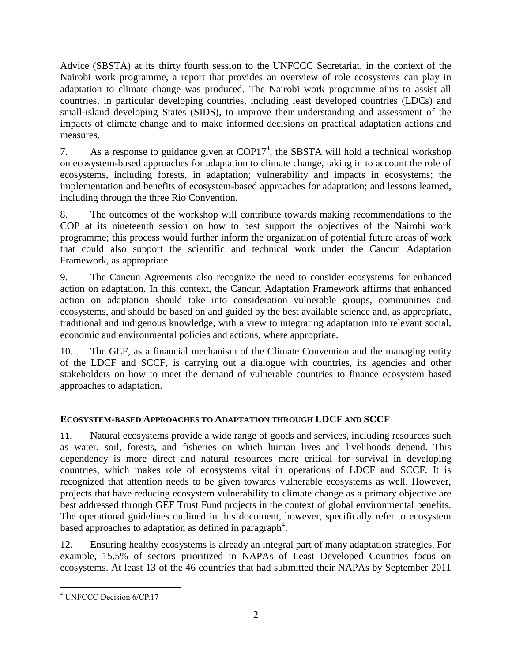Advice (SBSTA) at its thirty fourth session to the UNFCCC Secretariat, in the context of the Nairobi work programme, a report that provides an overview of role ecosystems can play in adaptation to climate change was produced. The Nairobi work programme aims to assist all countries, in particular developing countries, including least developed countries (LDCs) and small-island developing States (SIDS), to improve their understanding and assessment of the impacts of climate change and to make informed decisions on practical adaptation actions and measures.

7. As a response to guidance given at  $\text{COP17}^4$ , the SBSTA will hold a technical workshop on ecosystem-based approaches for adaptation to climate change, taking in to account the role of ecosystems, including forests, in adaptation; vulnerability and impacts in ecosystems; the implementation and benefits of ecosystem-based approaches for adaptation; and lessons learned, including through the three Rio Convention.

8. The outcomes of the workshop will contribute towards making recommendations to the COP at its nineteenth session on how to best support the objectives of the Nairobi work programme; this process would further inform the organization of potential future areas of work that could also support the scientific and technical work under the Cancun Adaptation Framework, as appropriate.

9. The Cancun Agreements also recognize the need to consider ecosystems for enhanced action on adaptation. In this context, the Cancun Adaptation Framework affirms that enhanced action on adaptation should take into consideration vulnerable groups, communities and ecosystems, and should be based on and guided by the best available science and, as appropriate, traditional and indigenous knowledge, with a view to integrating adaptation into relevant social, economic and environmental policies and actions, where appropriate.

10. The GEF, as a financial mechanism of the Climate Convention and the managing entity of the LDCF and SCCF, is carrying out a dialogue with countries, its agencies and other stakeholders on how to meet the demand of vulnerable countries to finance ecosystem based approaches to adaptation.

## <span id="page-3-0"></span>**ECOSYSTEM-BASED APPROACHES TO ADAPTATION THROUGH LDCF AND SCCF**

11. Natural ecosystems provide a wide range of goods and services, including resources such as water, soil, forests, and fisheries on which human lives and livelihoods depend. This dependency is more direct and natural resources more critical for survival in developing countries, which makes role of ecosystems vital in operations of LDCF and SCCF. It is recognized that attention needs to be given towards vulnerable ecosystems as well. However, projects that have reducing ecosystem vulnerability to climate change as a primary objective are best addressed through GEF Trust Fund projects in the context of global environmental benefits. The operational guidelines outlined in this document, however, specifically refer to ecosystem based approaches to adaptation as defined in paragraph<sup>4</sup>.

12. Ensuring healthy ecosystems is already an integral part of many adaptation strategies. For example, 15.5% of sectors prioritized in NAPAs of Least Developed Countries focus on ecosystems. At least 13 of the 46 countries that had submitted their NAPAs by September 2011

 $\overline{a}$ 

<sup>4</sup> UNFCCC Decision 6/CP.17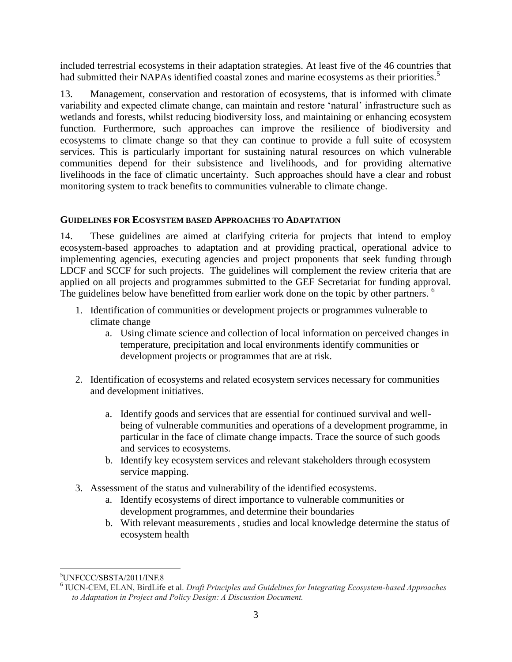included terrestrial ecosystems in their adaptation strategies. At least five of the 46 countries that had submitted their NAPAs identified coastal zones and marine ecosystems as their priorities.<sup>5</sup>

13. Management, conservation and restoration of ecosystems, that is informed with climate variability and expected climate change, can maintain and restore 'natural' infrastructure such as wetlands and forests, whilst reducing biodiversity loss, and maintaining or enhancing ecosystem function. Furthermore, such approaches can improve the resilience of biodiversity and ecosystems to climate change so that they can continue to provide a full suite of ecosystem services. This is particularly important for sustaining natural resources on which vulnerable communities depend for their subsistence and livelihoods, and for providing alternative livelihoods in the face of climatic uncertainty. Such approaches should have a clear and robust monitoring system to track benefits to communities vulnerable to climate change.

#### <span id="page-4-0"></span>**GUIDELINES FOR ECOSYSTEM BASED APPROACHES TO ADAPTATION**

14. These guidelines are aimed at clarifying criteria for projects that intend to employ ecosystem-based approaches to adaptation and at providing practical, operational advice to implementing agencies, executing agencies and project proponents that seek funding through LDCF and SCCF for such projects. The guidelines will complement the review criteria that are applied on all projects and programmes submitted to the GEF Secretariat for funding approval. The guidelines below have benefitted from earlier work done on the topic by other partners. <sup>6</sup>

- 1. Identification of communities or development projects or programmes vulnerable to climate change
	- a. Using climate science and collection of local information on perceived changes in temperature, precipitation and local environments identify communities or development projects or programmes that are at risk.
- 2. Identification of ecosystems and related ecosystem services necessary for communities and development initiatives.
	- a. Identify goods and services that are essential for continued survival and wellbeing of vulnerable communities and operations of a development programme, in particular in the face of climate change impacts. Trace the source of such goods and services to ecosystems.
	- b. Identify key ecosystem services and relevant stakeholders through ecosystem service mapping.
- 3. Assessment of the status and vulnerability of the identified ecosystems.
	- a. Identify ecosystems of direct importance to vulnerable communities or development programmes, and determine their boundaries
	- b. With relevant measurements , studies and local knowledge determine the status of ecosystem health

 $\overline{a}$ <sup>5</sup>UNFCCC/SBSTA/2011/INF.8

<sup>6</sup> IUCN-CEM, ELAN, BirdLife et al. *Draft Principles and Guidelines for Integrating Ecosystem-based Approaches to Adaptation in Project and Policy Design: A Discussion Document.*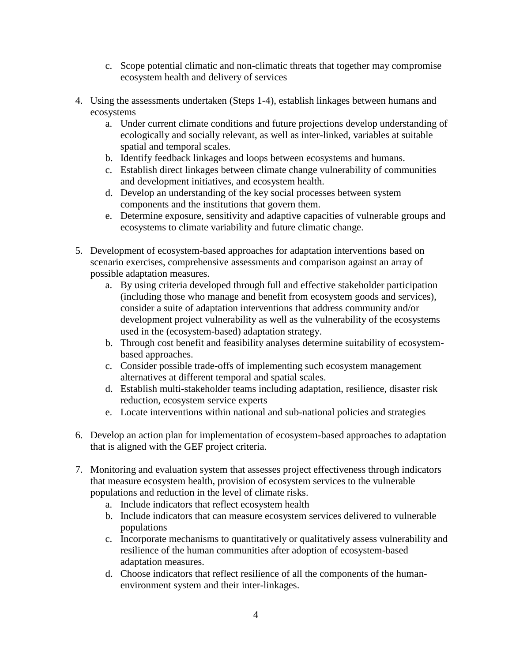- c. Scope potential climatic and non-climatic threats that together may compromise ecosystem health and delivery of services
- 4. Using the assessments undertaken (Steps 1-4), establish linkages between humans and ecosystems
	- a. Under current climate conditions and future projections develop understanding of ecologically and socially relevant, as well as inter-linked, variables at suitable spatial and temporal scales.
	- b. Identify feedback linkages and loops between ecosystems and humans.
	- c. Establish direct linkages between climate change vulnerability of communities and development initiatives, and ecosystem health.
	- d. Develop an understanding of the key social processes between system components and the institutions that govern them.
	- e. Determine exposure, sensitivity and adaptive capacities of vulnerable groups and ecosystems to climate variability and future climatic change.
- 5. Development of ecosystem-based approaches for adaptation interventions based on scenario exercises, comprehensive assessments and comparison against an array of possible adaptation measures.
	- a. By using criteria developed through full and effective stakeholder participation (including those who manage and benefit from ecosystem goods and services), consider a suite of adaptation interventions that address community and/or development project vulnerability as well as the vulnerability of the ecosystems used in the (ecosystem-based) adaptation strategy.
	- b. Through cost benefit and feasibility analyses determine suitability of ecosystembased approaches.
	- c. Consider possible trade-offs of implementing such ecosystem management alternatives at different temporal and spatial scales.
	- d. Establish multi-stakeholder teams including adaptation, resilience, disaster risk reduction, ecosystem service experts
	- e. Locate interventions within national and sub-national policies and strategies
- 6. Develop an action plan for implementation of ecosystem-based approaches to adaptation that is aligned with the GEF project criteria.
- 7. Monitoring and evaluation system that assesses project effectiveness through indicators that measure ecosystem health, provision of ecosystem services to the vulnerable populations and reduction in the level of climate risks.
	- a. Include indicators that reflect ecosystem health
	- b. Include indicators that can measure ecosystem services delivered to vulnerable populations
	- c. Incorporate mechanisms to quantitatively or qualitatively assess vulnerability and resilience of the human communities after adoption of ecosystem-based adaptation measures.
	- d. Choose indicators that reflect resilience of all the components of the humanenvironment system and their inter-linkages.